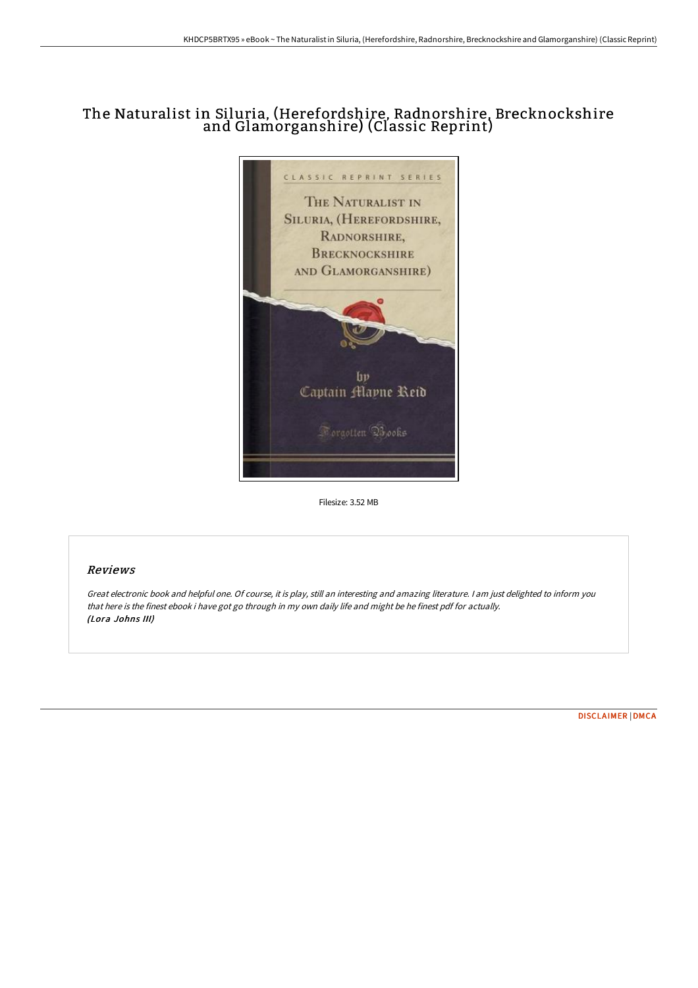# The Naturalist in Siluria, (Herefordshire, Radnorshire, Brecknockshire and Glamorganshire) (Classic Reprint)



Filesize: 3.52 MB

## Reviews

Great electronic book and helpful one. Of course, it is play, still an interesting and amazing literature. <sup>I</sup> am just delighted to inform you that here is the finest ebook i have got go through in my own daily life and might be he finest pdf for actually. (Lora Johns III)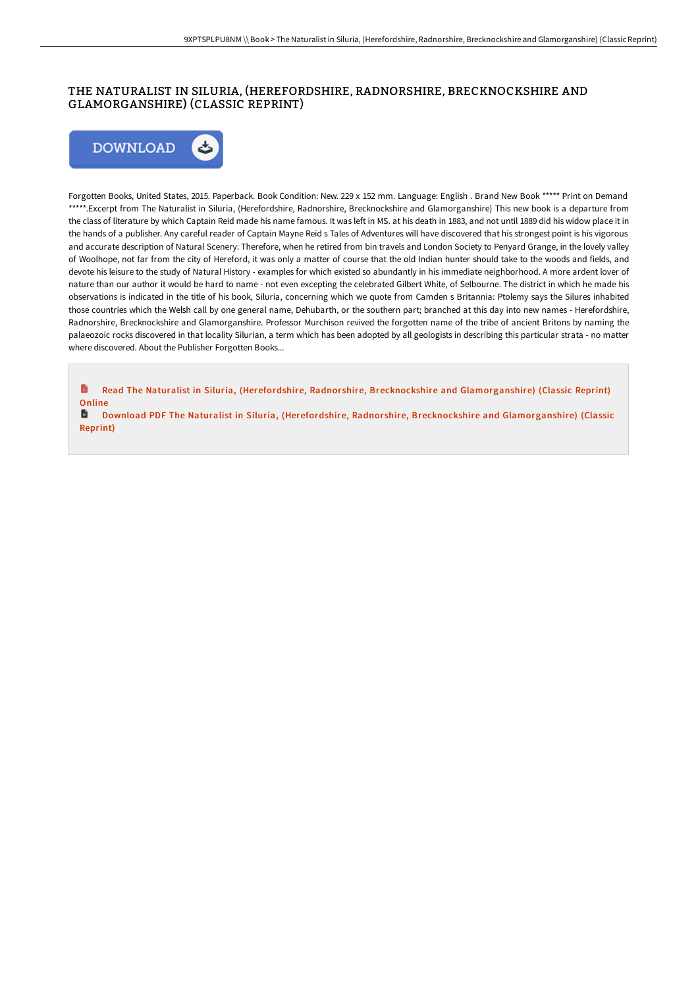## THE NATURALIST IN SILURIA, (HEREFORDSHIRE, RADNORSHIRE, BRECKNOCKSHIRE AND GLAMORGANSHIRE) (CLASSIC REPRINT)



Forgotten Books, United States, 2015. Paperback. Book Condition: New. 229 x 152 mm. Language: English . Brand New Book \*\*\*\*\* Print on Demand \*\*\*\*\*.Excerpt from The Naturalist in Siluria, (Herefordshire, Radnorshire, Brecknockshire and Glamorganshire) This new book is a departure from the class of literature by which Captain Reid made his name famous. It was left in MS. at his death in 1883, and not until 1889 did his widow place it in the hands of a publisher. Any careful reader of Captain Mayne Reid s Tales of Adventures will have discovered that his strongest point is his vigorous and accurate description of Natural Scenery: Therefore, when he retired from bin travels and London Society to Penyard Grange, in the lovely valley of Woolhope, not far from the city of Hereford, it was only a matter of course that the old Indian hunter should take to the woods and fields, and devote his leisure to the study of Natural History - examples for which existed so abundantly in his immediate neighborhood. A more ardent lover of nature than our author it would be hard to name - not even excepting the celebrated Gilbert White, of Selbourne. The district in which he made his observations is indicated in the title of his book, Siluria, concerning which we quote from Camden s Britannia: Ptolemy says the Silures inhabited those countries which the Welsh call by one general name, Dehubarth, or the southern part; branched at this day into new names - Herefordshire, Radnorshire, Brecknockshire and Glamorganshire. Professor Murchison revived the forgotten name of the tribe of ancient Britons by naming the palaeozoic rocks discovered in that locality Silurian, a term which has been adopted by all geologists in describing this particular strata - no matter where discovered. About the Publisher Forgotten Books...

h Read The Naturalist in Siluria, (Herefordshire, Radnorshire, Brecknockshire and [Glamorganshire\)](http://albedo.media/the-naturalist-in-siluria-herefordshire-radnorsh.html) (Classic Reprint) **Online** 

B Download PDF The Naturalist in Siluria, (Herefordshire, Radnorshire, Brecknockshire and [Glamorganshire\)](http://albedo.media/the-naturalist-in-siluria-herefordshire-radnorsh.html) (Classic Reprint)